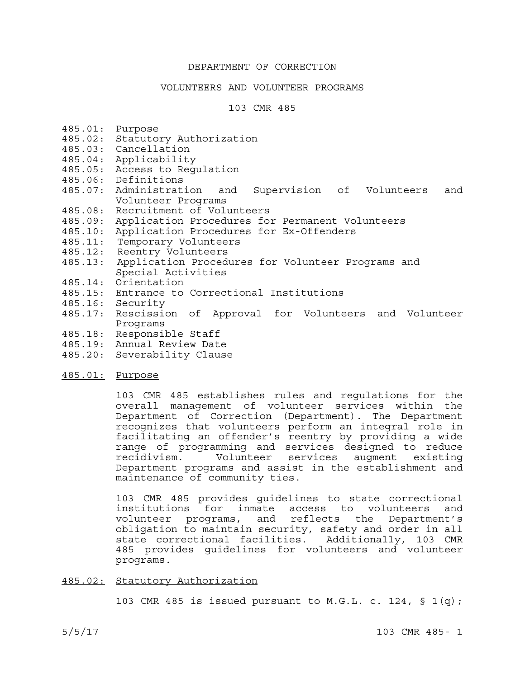## DEPARTMENT OF CORRECTION

#### VOLUNTEERS AND VOLUNTEER PROGRAMS

#### 103 CMR 485

- 485.01: Purpose
- 485.02: Statutory Authorization
- 485.03: Cancellation
- 485.04: Applicability
- 485.05: Access to Regulation
- 
- 485.06: Definitions<br>485.07: Administration and Supervision of Volunteers and Volunteer Programs
- 485.08: Recruitment of Volunteers
- 485.09: Application Procedures for Permanent Volunteers
- 485.10: Application Procedures for Ex-Offenders
- 485.11: Temporary Volunteers
- 485.12: Reentry Volunteers
- 485.13: Application Procedures for Volunteer Programs and Special Activities
- 485.14: Orientation
- 485.15: Entrance to Correctional Institutions
- 485.16: Security
- 485.17: Rescission of Approval for Volunteers and Volunteer Programs
- 485.18: Responsible Staff
- 485.19: Annual Review Date
- 485.20: Severability Clause
- 485.01: Purpose

103 CMR 485 establishes rules and regulations for the overall management of volunteer services within the Department of Correction (Department). The Department recognizes that volunteers perform an integral role in facilitating an offender's reentry by providing a wide range of programming and services designed to reduce recidivism. Volunteer services augment existing Department programs and assist in the establishment and maintenance of community ties.

103 CMR 485 provides guidelines to state correctional institutions for inmate access to volunteers and volunteer programs, and reflects the Department's obligation to maintain security, safety and order in all state correctional facilities. Additionally, 103 CMR 485 provides guidelines for volunteers and volunteer programs.

#### 485.02: Statutory Authorization

103 CMR 485 is issued pursuant to M.G.L. c. 124,  $\S$  1(q);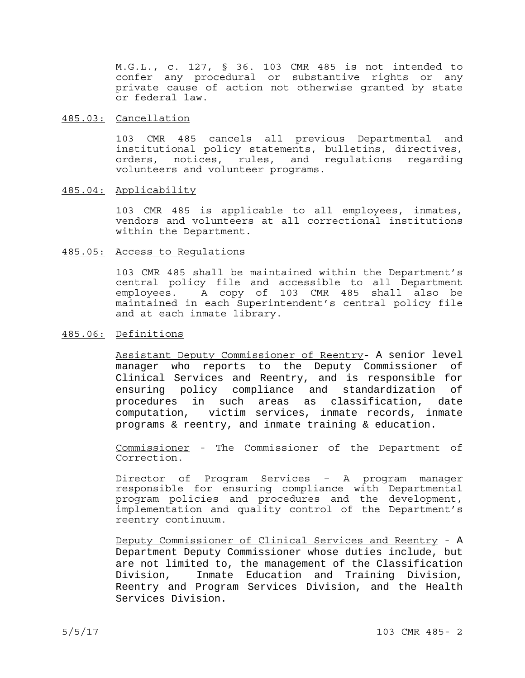M.G.L., c. 127, § 36. 103 CMR 485 is not intended to confer any procedural or substantive rights or any private cause of action not otherwise granted by state or federal law.

#### 485.03: Cancellation

103 CMR 485 cancels all previous Departmental and institutional policy statements, bulletins, directives, orders, notices, rules, and regulations regarding volunteers and volunteer programs.

#### 485.04: Applicability

103 CMR 485 is applicable to all employees, inmates, vendors and volunteers at all correctional institutions within the Department.

#### 485.05: Access to Regulations

103 CMR 485 shall be maintained within the Department's central policy file and accessible to all Department employees. A copy of 103 CMR 485 shall also be maintained in each Superintendent's central policy file and at each inmate library.

## 485.06: Definitions

Assistant Deputy Commissioner of Reentry- A senior level manager who reports to the Deputy Commissioner of Clinical Services and Reentry, and is responsible for ensuring policy compliance and standardization of procedures in such areas as classification, date computation, victim services, inmate records, inmate programs & reentry, and inmate training & education.

Commissioner - The Commissioner of the Department of Correction.

Director of Program Services – A program manager responsible for ensuring compliance with Departmental program policies and procedures and the development, implementation and quality control of the Department's reentry continuum.

Deputy Commissioner of Clinical Services and Reentry - A Department Deputy Commissioner whose duties include, but are not limited to, the management of the Classification Division, Inmate Education and Training Division, Reentry and Program Services Division, and the Health Services Division.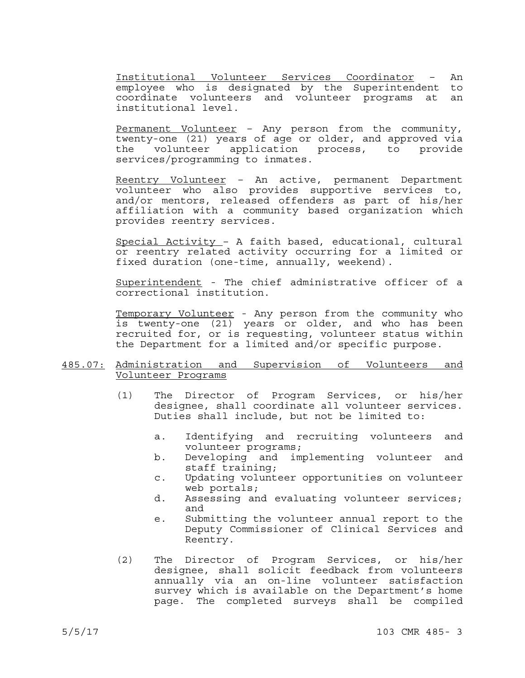Institutional Volunteer Services Coordinator – An employee who is designated by the Superintendent to coordinate volunteers and volunteer programs at an institutional level.

Permanent Volunteer - Any person from the community, twenty-one (21) years of age or older, and approved via the volunteer application process, to provide services/programming to inmates.

Reentry Volunteer – An active, permanent Department volunteer who also provides supportive services to, and/or mentors, released offenders as part of his/her affiliation with a community based organization which provides reentry services.

Special Activity – A faith based, educational, cultural or reentry related activity occurring for a limited or fixed duration (one-time, annually, weekend).

Superintendent - The chief administrative officer of a correctional institution.

Temporary Volunteer - Any person from the community who is twenty-one (21) years or older, and who has been recruited for, or is requesting, volunteer status within the Department for a limited and/or specific purpose.

### 485.07: Administration and Supervision of Volunteers and Volunteer Programs

- (1) The Director of Program Services, or his/her designee, shall coordinate all volunteer services. Duties shall include, but not be limited to:
	- a. Identifying and recruiting volunteers and volunteer programs;
	- b. Developing and implementing volunteer and staff training;
	- c. Updating volunteer opportunities on volunteer web portals;
	- d. Assessing and evaluating volunteer services; and
	- e. Submitting the volunteer annual report to the Deputy Commissioner of Clinical Services and Reentry.
- (2) The Director of Program Services, or his/her designee, shall solicit feedback from volunteers annually via an on-line volunteer satisfaction survey which is available on the Department's home page. The completed surveys shall be compiled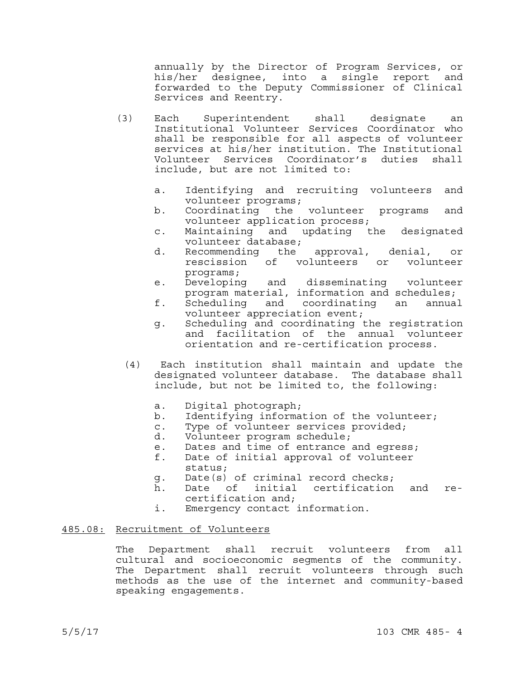annually by the Director of Program Services, or his/her designee, into a single report and forwarded to the Deputy Commissioner of Clinical Services and Reentry.

- (3) Each Superintendent shall designate an Institutional Volunteer Services Coordinator who shall be responsible for all aspects of volunteer services at his/her institution. The Institutional Volunteer Services Coordinator's duties shall
	- a. Identifying and recruiting volunteers and volunteer programs;
	- b. Coordinating the volunteer programs and volunteer application process;
	- c. Maintaining and updating the designated volunteer database;
	- d. Recommending the approval, denial, or rescission of volunteers or volunteer programs;
	- e. Developing and disseminating volunteer program material, information and schedules;
	- f. Scheduling and coordinating an annual volunteer appreciation event;
	- g. Scheduling and coordinating the registration and facilitation of the annual volunteer orientation and re-certification process.
	- (4) Each institution shall maintain and update the designated volunteer database. The database shall include, but not be limited to, the following:
		- a. Digital photograph;
		- b. Identifying information of the volunteer;
		- c. Type of volunteer services provided;
		- d. Volunteer program schedule;
		- e. Dates and time of entrance and egress;
		- f. Date of initial approval of volunteer status;
		- g. Date(s) of criminal record checks;
		- h. Date of initial certification and recertification and;
		- i. Emergency contact information.

## 485.08: Recruitment of Volunteers

The Department shall recruit volunteers from all cultural and socioeconomic segments of the community. The Department shall recruit volunteers through such methods as the use of the internet and community-based speaking engagements.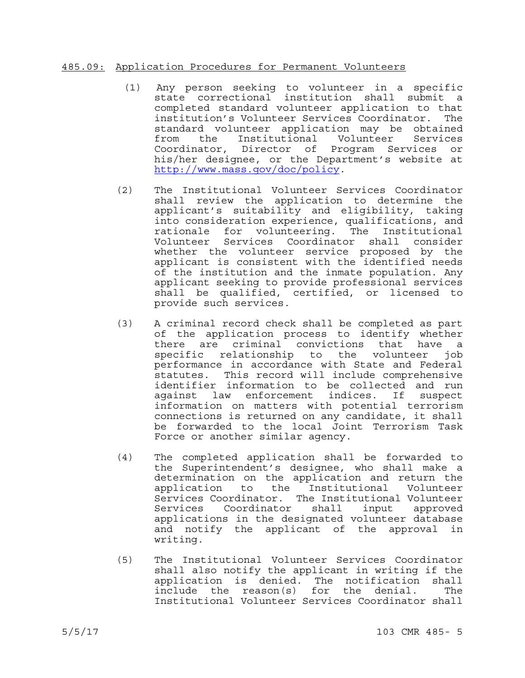## 485.09: Application Procedures for Permanent Volunteers

- (1) Any person seeking to volunteer in a specific state correctional institution shall submit a completed standard volunteer application to that institution's Volunteer Services Coordinator. The standard volunteer application may be obtained from the Institutional Volunteer Services Coordinator, Director of Program Services or his/her designee, or the Department's website at http://www.mass.gov/doc/policy.
- (2) The Institutional Volunteer Services Coordinator shall review the application to determine the applicant's suitability and eligibility, taking into consideration experience, qualifications, and rationale for volunteering. The Institutional Volunteer Services Coordinator shall consider whether the volunteer service proposed by the applicant is consistent with the identified needs of the institution and the inmate population. Any applicant seeking to provide professional services shall be qualified, certified, or licensed to provide such services.
- (3) A criminal record check shall be completed as part of the application process to identify whether there are criminal convictions that have a specific relationship to the volunteer job performance in accordance with State and Federal statutes. This record will include comprehensive identifier information to be collected and run against law enforcement indices. If suspect information on matters with potential terrorism connections is returned on any candidate, it shall be forwarded to the local Joint Terrorism Task Force or another similar agency.
- (4) The completed application shall be forwarded to the Superintendent's designee, who shall make a determination on the application and return the application to the Institutional Volunteer Services Coordinator. The Institutional Volunteer Services Coordinator shall input approved applications in the designated volunteer database and notify the applicant of the approval in writing.
- (5) The Institutional Volunteer Services Coordinator shall also notify the applicant in writing if the application is denied. The notification shall include the reason(s) for the denial. The Institutional Volunteer Services Coordinator shall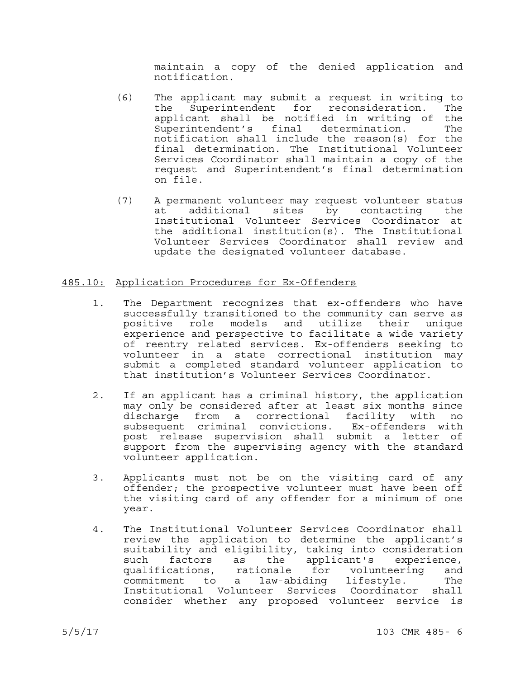maintain a copy of the denied application and notification.

- (6) The applicant may submit a request in writing to the Superintendent for reconsideration. The applicant shall be notified in writing of the Superintendent's final determination. The notification shall include the reason(s) for the final determination. The Institutional Volunteer Services Coordinator shall maintain a copy of the request and Superintendent's final determination on file.
- (7) A permanent volunteer may request volunteer status at additional sites by contacting the Institutional Volunteer Services Coordinator at the additional institution(s). The Institutional Volunteer Services Coordinator shall review and update the designated volunteer database.

## 485.10: Application Procedures for Ex-Offenders

- 1. The Department recognizes that ex-offenders who have successfully transitioned to the community can serve as positive role models and utilize their unique experience and perspective to facilitate a wide variety of reentry related services. Ex-offenders seeking to volunteer in a state correctional institution may submit a completed standard volunteer application to that institution's Volunteer Services Coordinator.
- 2. If an applicant has a criminal history, the application may only be considered after at least six months since discharge from a correctional facility with no subsequent criminal convictions. Ex-offenders with post release supervision shall submit a letter of support from the supervising agency with the standard volunteer application.
- 3. Applicants must not be on the visiting card of any offender; the prospective volunteer must have been off the visiting card of any offender for a minimum of one year.
- 4. The Institutional Volunteer Services Coordinator shall review the application to determine the applicant's suitability and eligibility, taking into consideration such factors as the applicant's experience,<br>qualifications, rationale for volunteering and qualifications, rationale for volunteering and commitment to a law-abiding lifestyle. The Institutional Volunteer Services Coordinator shall consider whether any proposed volunteer service is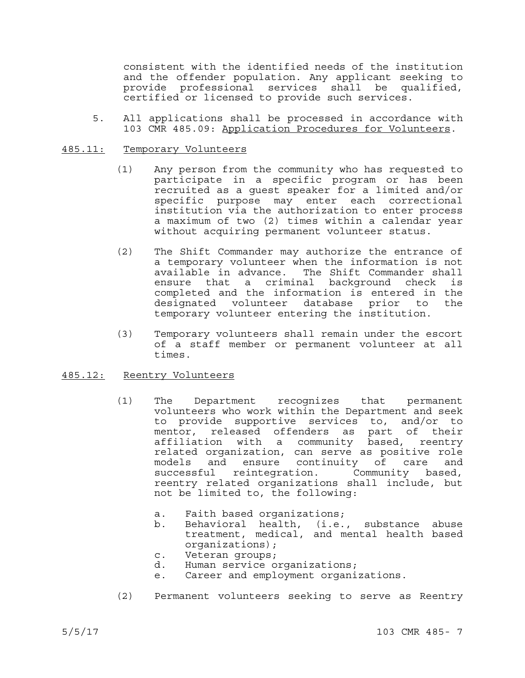consistent with the identified needs of the institution and the offender population. Any applicant seeking to provide professional services shall be qualified, certified or licensed to provide such services.

5. All applications shall be processed in accordance with 103 CMR 485.09: Application Procedures for Volunteers.

### 485.11: Temporary Volunteers

- (1) Any person from the community who has requested to participate in a specific program or has been recruited as a guest speaker for a limited and/or specific purpose may enter each correctional institution via the authorization to enter process a maximum of two (2) times within a calendar year without acquiring permanent volunteer status.
- (2) The Shift Commander may authorize the entrance of a temporary volunteer when the information is not available in advance. The Shift Commander shall ensure that a criminal background check is completed and the information is entered in the designated volunteer database prior to the temporary volunteer entering the institution.
- (3) Temporary volunteers shall remain under the escort of a staff member or permanent volunteer at all times.

### 485.12: Reentry Volunteers

- (1) The Department recognizes that permanent volunteers who work within the Department and seek to provide supportive services to, and/or to mentor, released offenders as part of their affiliation with a community based, reentry related organization, can serve as positive role models and ensure continuity of care and successful reintegration. Community based, reentry related organizations shall include, but not be limited to, the following:
	- a. Faith based organizations;
	- b. Behavioral health, (i.e., substance abuse treatment, medical, and mental health based organizations);
	- c. Veteran groups;
	- d. Human service organizations;
	- e. Career and employment organizations.
- (2) Permanent volunteers seeking to serve as Reentry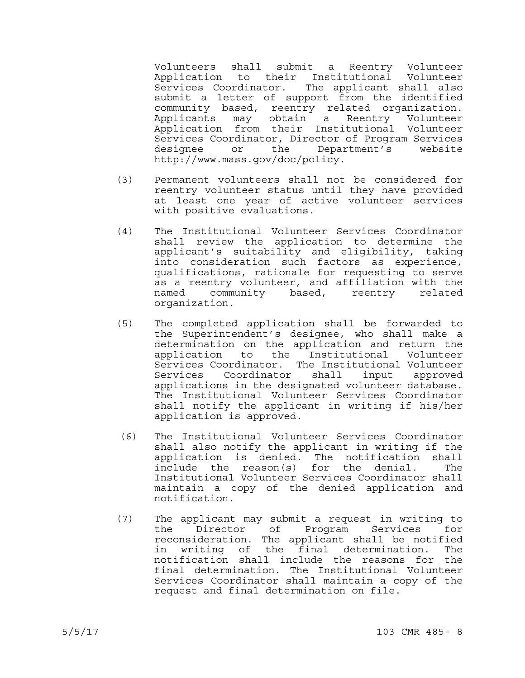Volunteers shall submit a Reentry Volunteer Application to their Institutional Volunteer Services Coordinator. The applicant shall also submit a letter of support from the identified community based, reentry related organization. Applicants may obtain a Reentry Volunteer Application from their Institutional Volunteer Services Coordinator, Director of Program Services designee or the Department's website http://www.mass.gov/doc/policy.

- (3) Permanent volunteers shall not be considered for reentry volunteer status until they have provided at least one year of active volunteer services with positive evaluations.
- (4) The Institutional Volunteer Services Coordinator shall review the application to determine the applicant's suitability and eligibility, taking into consideration such factors as experience, qualifications, rationale for requesting to serve as a reentry volunteer, and affiliation with the named community based, reentry related organization.
- (5) The completed application shall be forwarded to the Superintendent's designee, who shall make a determination on the application and return the application to the Institutional Volunteer Services Coordinator. The Institutional Volunteer Services Coordinator shall input approved applications in the designated volunteer database. The Institutional Volunteer Services Coordinator shall notify the applicant in writing if his/her application is approved.
- (6) The Institutional Volunteer Services Coordinator shall also notify the applicant in writing if the application is denied. The notification shall include the reason(s) for the denial. The Institutional Volunteer Services Coordinator shall maintain a copy of the denied application and notification.
- (7) The applicant may submit a request in writing to the Director of Program Services for reconsideration. The applicant shall be notified in writing of the final determination. The notification shall include the reasons for the final determination. The Institutional Volunteer Services Coordinator shall maintain a copy of the request and final determination on file.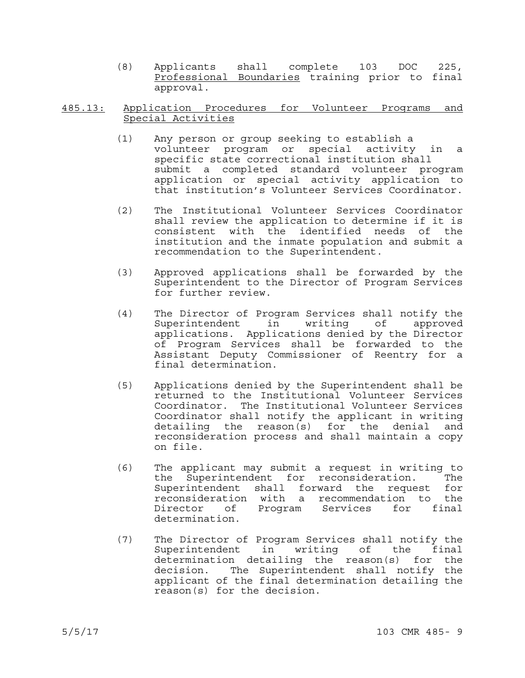(8) Applicants shall complete 103 DOC 225, Professional Boundaries training prior to final approval.

# 485.13: Application Procedures for Volunteer Programs and

- $(1)$  Any person or group seeking to establish a volunteer program or special activity in a specific state correctional institution shall submit a completed standard volunteer program application or special activity application to that institution's Volunteer Services Coordinator.
- (2) The Institutional Volunteer Services Coordinator shall review the application to determine if it is consistent with the identified needs of the institution and the inmate population and submit a recommendation to the Superintendent.
- (3) Approved applications shall be forwarded by the Superintendent to the Director of Program Services for further review.
- (4) The Director of Program Services shall notify the writing of approved applications. Applications denied by the Director of Program Services shall be forwarded to the Assistant Deputy Commissioner of Reentry for a final determination.
- (5) Applications denied by the Superintendent shall be returned to the Institutional Volunteer Services Coordinator. The Institutional Volunteer Services Coordinator shall notify the applicant in writing detailing the reason(s) for the denial and reconsideration process and shall maintain a copy on file.
- (6) The applicant may submit a request in writing to the Superintendent for reconsideration. The Superintendent shall forward the request for reconsideration with a recommendation to the Director of Program Services for final determination.
- (7) The Director of Program Services shall notify the Superintendent in writing of the final determination detailing the reason(s) for the decision. The Superintendent shall notify the applicant of the final determination detailing the reason(s) for the decision.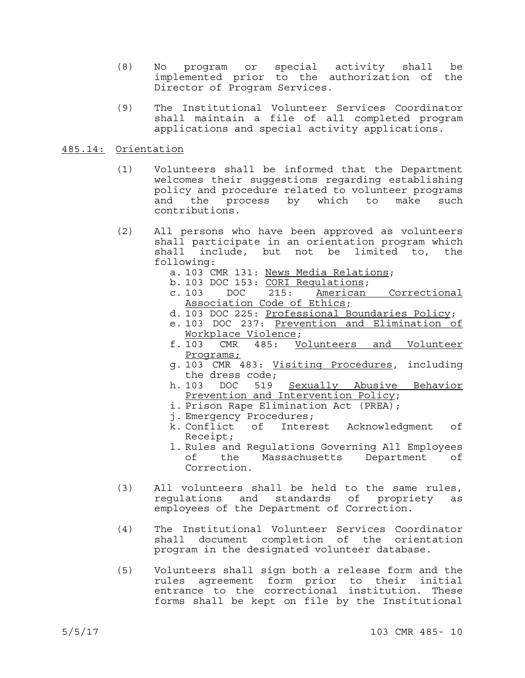- (8) No program or special activity shall be implemented prior to the authorization of the Director of Program Services.
- (9) The Institutional Volunteer Services Coordinator shall maintain a file of all completed program applications and special activity applications.

#### 485.14: Orientation

- (1) Volunteers shall be informed that the Department welcomes their suggestions regarding establishing policy and procedure related to volunteer programs and the process by which to make such contributions.
- (2) All persons who have been approved as volunteers shall participate in an orientation program which shall include, but not be limited to, the following:
	- a. 103 CMR 131: News Media Relations;
	- b. 103 DOC 153: CORI Regulations;<br>c. 103 DOC 215: American
	- c. 103 DOC 215: American Correctional Association Code of Ethics;
	- d. 103 DOC 225: Professional Boundaries Policy;
	- e. 103 DOC 237: Prevention and Elimination of Workplace Violence;<br>f.103 CMR 485: Vo
	- CMR 485: Volunteers and Volunteer Programs;
	- g. 103 CMR 483: Visiting Procedures, including the dress code;<br>103 DOC 519
	- h. 103 DOC 519 Sexually Abusive Behavior Prevention and Intervention Policy;
	- i. Prison Rape Elimination Act (PREA);
	- j. Emergency Procedures;
	- k. Conflict of Interest Acknowledgment of Receipt;
	- l. Rules and Regulations Governing All Employees of the Massachusetts Department of Correction.
- (3) All volunteers shall be held to the same rules, regulations and standards of propriety as employees of the Department of Correction.
- (4) The Institutional Volunteer Services Coordinator shall document completion of the orientation program in the designated volunteer database.
- (5) Volunteers shall sign both a release form and the rules agreement form prior to their initial entrance to the correctional institution. These forms shall be kept on file by the Institutional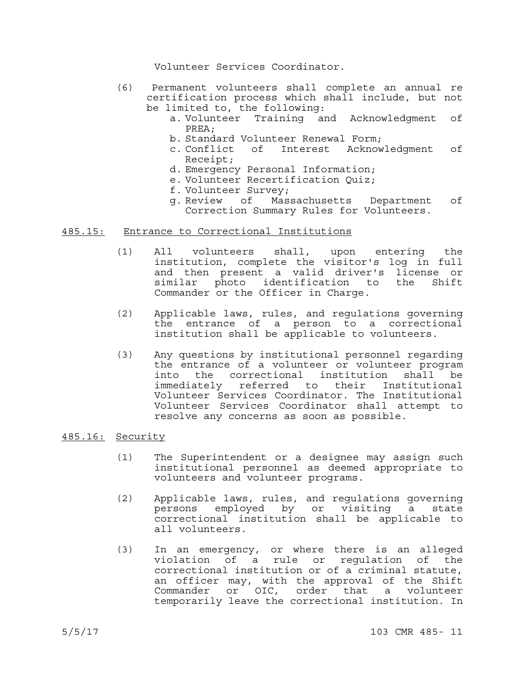Volunteer Services Coordinator.

- (6) Permanent volunteers shall complete an annual re certification process which shall include, but not be limited to, the following:
	- a. Volunteer Training and Acknowledgment of PREA;
	- b. Standard Volunteer Renewal Form;
	- c. Conflict of Interest Acknowledgment of Receipt;
	- d. Emergency Personal Information;
	- e. Volunteer Recertification Quiz;
	- f. Volunteer Survey;
	- g. Review of Massachusetts Department of Correction Summary Rules for Volunteers.

### 485.15: Entrance to Correctional Institutions

- (1) All volunteers shall, upon entering the institution, complete the visitor's log in full and then present a valid driver's license or similar photo identification to the Shift Commander or the Officer in Charge.
- (2) Applicable laws, rules, and regulations governing the entrance of a person to a correctional institution shall be applicable to volunteers.
- (3) Any questions by institutional personnel regarding the entrance of a volunteer or volunteer program into the correctional institution shall be immediately referred to their Institutional Volunteer Services Coordinator. The Institutional Volunteer Services Coordinator shall attempt to resolve any concerns as soon as possible.

### 485.16: Security

- (1) The Superintendent or a designee may assign such institutional personnel as deemed appropriate to volunteers and volunteer programs.
- (2) Applicable laws, rules, and regulations governing persons employed by or visiting a state correctional institution shall be applicable to all volunteers.
- (3) In an emergency, or where there is an alleged violation of a rule or regulation of the correctional institution or of a criminal statute, an officer may, with the approval of the Shift Commander or OIC, order that a volunteer temporarily leave the correctional institution. In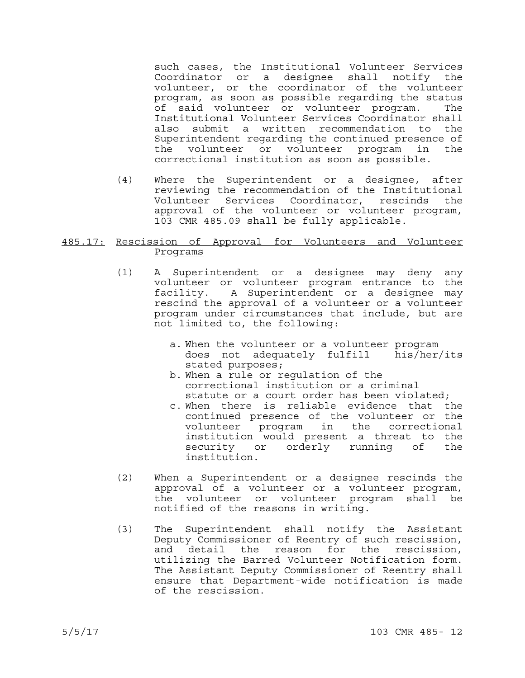such cases, the Institutional Volunteer Services Coordinator or a designee shall notify the volunteer, or the coordinator of the volunteer program, as soon as possible regarding the status of said volunteer or volunteer program. The Institutional Volunteer Services Coordinator shall also submit a written recommendation to the Superintendent regarding the continued presence of the volunteer or volunteer program in the correctional institution as soon as possible.

(4) Where the Superintendent or a designee, after reviewing the recommendation of the Institutional Volunteer Services Coordinator, rescinds the approval of the volunteer or volunteer program, 103 CMR 485.09 shall be fully applicable.

# 485.17: Rescission of Approval for Volunteers and Volunteer Programs

- (1) A Superintendent or a designee may deny any volunteer or volunteer program entrance to the facility. A Superintendent or a designee may rescind the approval of a volunteer or a volunteer program under circumstances that include, but are not limited to, the following:
	- a. When the volunteer or a volunteer program does not adequately fulfill his/her/its stated purposes;
	- b. When a rule or regulation of the correctional institution or a criminal statute or a court order has been violated;
	- c. When there is reliable evidence that the continued presence of the volunteer or the volunteer program in the correctional institution would present a threat to the security or orderly running of the institution.
- (2) When a Superintendent or a designee rescinds the approval of a volunteer or a volunteer program, the volunteer or volunteer program shall be notified of the reasons in writing.
- (3) The Superintendent shall notify the Assistant Deputy Commissioner of Reentry of such rescission, and detail the reason for the rescission, utilizing the Barred Volunteer Notification form. The Assistant Deputy Commissioner of Reentry shall ensure that Department-wide notification is made of the rescission.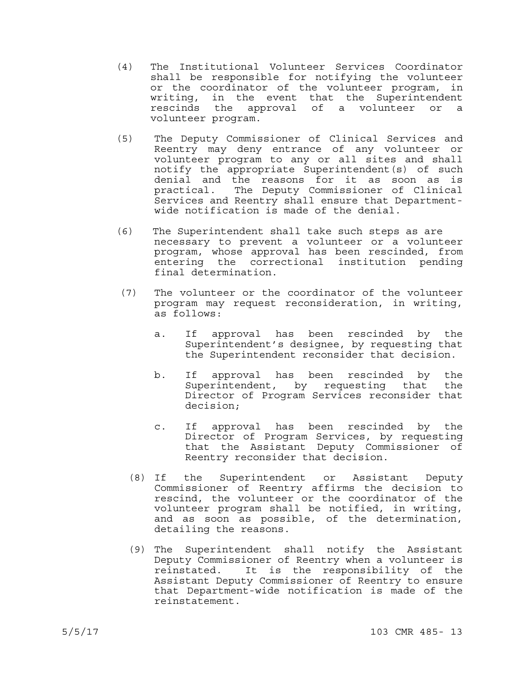- (4) The Institutional Volunteer Services Coordinator shall be responsible for notifying the volunteer or the coordinator of the volunteer program, in writing, in the event that the Superintendent rescinds the approval of a volunteer or a volunteer program.
- (5) The Deputy Commissioner of Clinical Services and Reentry may deny entrance of any volunteer or volunteer program to any or all sites and shall notify the appropriate Superintendent(s) of such denial and the reasons for it as soon as is practical. The Deputy Commissioner of Clinical Services and Reentry shall ensure that Departmentwide notification is made of the denial.
- (6) The Superintendent shall take such steps as are necessary to prevent a volunteer or a volunteer program, whose approval has been rescinded, from entering the correctional institution pending final determination.
- (7) The volunteer or the coordinator of the volunteer program may request reconsideration, in writing, as follows:
	- a. If approval has been rescinded by the Superintendent's designee, by requesting that the Superintendent reconsider that decision.
	- b. If approval has been rescinded by the Superintendent, by requesting that the Director of Program Services reconsider that decision;
	- c. If approval has been rescinded by the Director of Program Services, by requesting that the Assistant Deputy Commissioner of Reentry reconsider that decision.
	- (8) If the Superintendent or Assistant Deputy Commissioner of Reentry affirms the decision to rescind, the volunteer or the coordinator of the volunteer program shall be notified, in writing, and as soon as possible, of the determination, detailing the reasons.
	- (9) The Superintendent shall notify the Assistant Deputy Commissioner of Reentry when a volunteer is reinstated. It is the responsibility of the Assistant Deputy Commissioner of Reentry to ensure that Department-wide notification is made of the reinstatement.